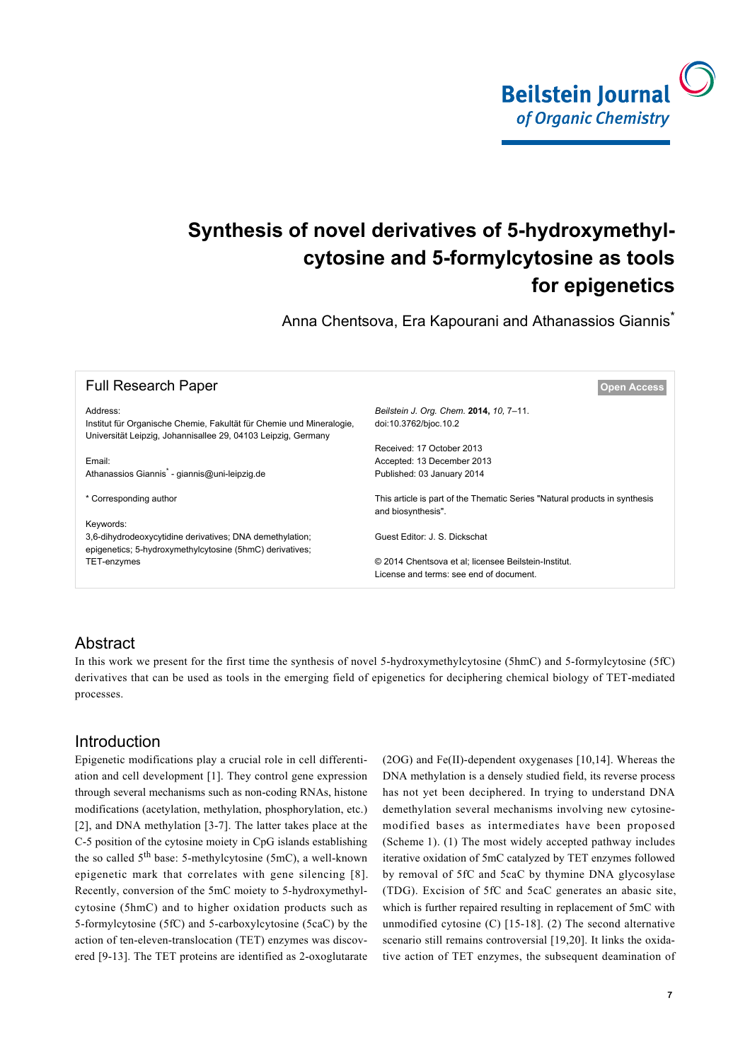

# **Synthesis of novel derivatives of 5-hydroxymethylcytosine and 5-formylcytosine as tools for epigenetics**

Anna Chentsova, Era Kapourani and Athanassios Giannis<sup>\*</sup>

| <b>Full Research Paper</b>                                                                                                                        | <b>Open Access</b>                                                                               |
|---------------------------------------------------------------------------------------------------------------------------------------------------|--------------------------------------------------------------------------------------------------|
| Address:<br>Institut für Organische Chemie, Fakultät für Chemie und Mineralogie,<br>Universität Leipzig, Johannisallee 29, 04103 Leipzig, Germany | Beilstein J. Org. Chem. 2014, 10, 7-11.<br>doi:10.3762/bjoc.10.2                                 |
|                                                                                                                                                   | Received: 17 October 2013                                                                        |
| Email:                                                                                                                                            | Accepted: 13 December 2013                                                                       |
| Athanassios Giannis <sup>*</sup> - giannis@uni-leipzig.de                                                                                         | Published: 03 January 2014                                                                       |
| * Corresponding author                                                                                                                            | This article is part of the Thematic Series "Natural products in synthesis<br>and biosynthesis". |
| Keywords:                                                                                                                                         |                                                                                                  |
| 3,6-dihydrodeoxycytidine derivatives; DNA demethylation;<br>epigenetics; 5-hydroxymethylcytosine (5hmC) derivatives;                              | Guest Editor: J. S. Dickschat                                                                    |
| TET-enzymes                                                                                                                                       | © 2014 Chentsova et al; licensee Beilstein-Institut.<br>License and terms: see end of document.  |

## **Abstract**

In this work we present for the first time the synthesis of novel 5-hydroxymethylcytosine (5hmC) and 5-formylcytosine (5fC) derivatives that can be used as tools in the emerging field of epigenetics for deciphering chemical biology of TET-mediated processes.

## Introduction

Epigenetic modifications play a crucial role in cell differentiation and cell development [\[1\]](#page-4-0). They control gene expression through several mechanisms such as non-coding RNAs, histone modifications (acetylation, methylation, phosphorylation, etc.) [\[2\]](#page-4-1), and DNA methylation [\[3-7\]](#page-4-2). The latter takes place at the C-5 position of the cytosine moiety in CpG islands establishing the so called 5th base: 5-methylcytosine (5mC), a well-known epigenetic mark that correlates with gene silencing [\[8\]](#page-4-3). Recently, conversion of the 5mC moiety to 5-hydroxymethylcytosine (5hmC) and to higher oxidation products such as 5-formylcytosine (5fC) and 5-carboxylcytosine (5caC) by the action of ten-eleven-translocation (TET) enzymes was discovered [\[9-13\]](#page-4-4). The TET proteins are identified as 2-oxoglutarate

(2OG) and Fe(II)-dependent oxygenases [\[10,14\]](#page-4-5). Whereas the DNA methylation is a densely studied field, its reverse process has not yet been deciphered. In trying to understand DNA demethylation several mechanisms involving new cytosinemodified bases as intermediates have been proposed ([Scheme 1](#page-1-0)). (1) The most widely accepted pathway includes iterative oxidation of 5mC catalyzed by TET enzymes followed by removal of 5fC and 5caC by thymine DNA glycosylase (TDG). Excision of 5fC and 5caC generates an abasic site, which is further repaired resulting in replacement of 5mC with unmodified cytosine (C) [\[15-18\].](#page-4-6) (2) The second alternative scenario still remains controversial [\[19,20\].](#page-4-7) It links the oxidative action of TET enzymes, the subsequent deamination of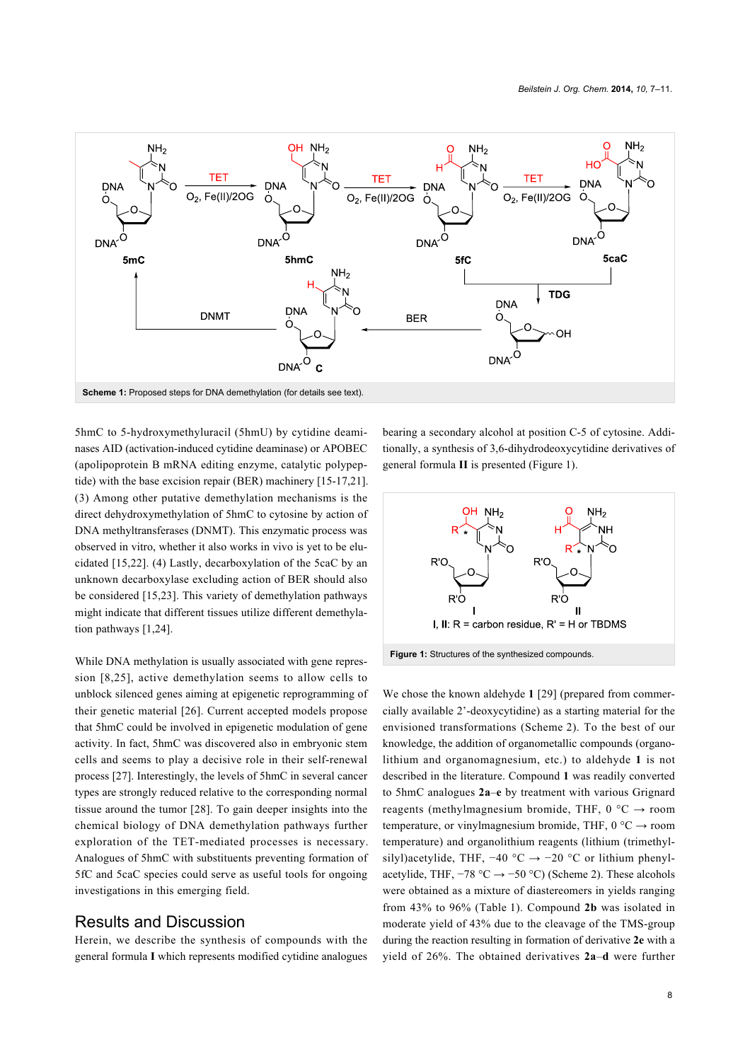<span id="page-1-0"></span>

5hmC to 5-hydroxymethyluracil (5hmU) by cytidine deaminases AID (activation-induced cytidine deaminase) or APOBEC (apolipoprotein B mRNA editing enzyme, catalytic polypeptide) with the base excision repair (BER) machinery [\[15-17,21\]](#page-4-6). (3) Among other putative demethylation mechanisms is the direct dehydroxymethylation of 5hmC to cytosine by action of DNA methyltransferases (DNMT). This enzymatic process was observed in vitro, whether it also works in vivo is yet to be elucidated [\[15,22\].](#page-4-6) (4) Lastly, decarboxylation of the 5caC by an unknown decarboxylase excluding action of BER should also be considered [\[15,23\].](#page-4-6) This variety of demethylation pathways might indicate that different tissues utilize different demethylation pathways [\[1,24\]](#page-4-0).

While DNA methylation is usually associated with gene repression [\[8,25\]](#page-4-3), active demethylation seems to allow cells to unblock silenced genes aiming at epigenetic reprogramming of their genetic material [\[26\]](#page-4-8). Current accepted models propose that 5hmC could be involved in epigenetic modulation of gene activity. In fact, 5hmC was discovered also in embryonic stem cells and seems to play a decisive role in their self-renewal process [\[27\]](#page-4-9). Interestingly, the levels of 5hmC in several cancer types are strongly reduced relative to the corresponding normal tissue around the tumor [\[28\].](#page-4-10) To gain deeper insights into the chemical biology of DNA demethylation pathways further exploration of the TET-mediated processes is necessary. Analogues of 5hmC with substituents preventing formation of 5fC and 5caC species could serve as useful tools for ongoing investigations in this emerging field.

#### Results and Discussion

Herein, we describe the synthesis of compounds with the general formula **I** which represents modified cytidine analogues bearing a secondary alcohol at position C-5 of cytosine. Additionally, a synthesis of 3,6-dihydrodeoxycytidine derivatives of general formula **II** is presented ([Figure 1](#page-1-1)).

<span id="page-1-1"></span>

We chose the known aldehyde **1** [\[29\]](#page-4-11) (prepared from commercially available 2'-deoxycytidine) as a starting material for the envisioned transformations ([Scheme 2](#page-2-0)). To the best of our knowledge, the addition of organometallic compounds (organolithium and organomagnesium, etc.) to aldehyde **1** is not described in the literature. Compound **1** was readily converted to 5hmC analogues **2a**–**e** by treatment with various Grignard reagents (methylmagnesium bromide, THF,  $0^{\circ}C \rightarrow$  room temperature, or vinylmagnesium bromide, THF,  $0^{\circ}C \rightarrow$  room temperature) and organolithium reagents (lithium (trimethylsilyl)acetylide, THF,  $-40$  °C  $\rightarrow -20$  °C or lithium phenylacetylide, THF,  $-78 °C \rightarrow -50 °C$ ) ([Scheme 2](#page-2-0)). These alcohols were obtained as a mixture of diastereomers in yields ranging from 43% to 96% [\(Table 1](#page-2-1)). Compound **2b** was isolated in moderate yield of 43% due to the cleavage of the TMS-group during the reaction resulting in formation of derivative **2e** with a yield of 26%. The obtained derivatives **2a**–**d** were further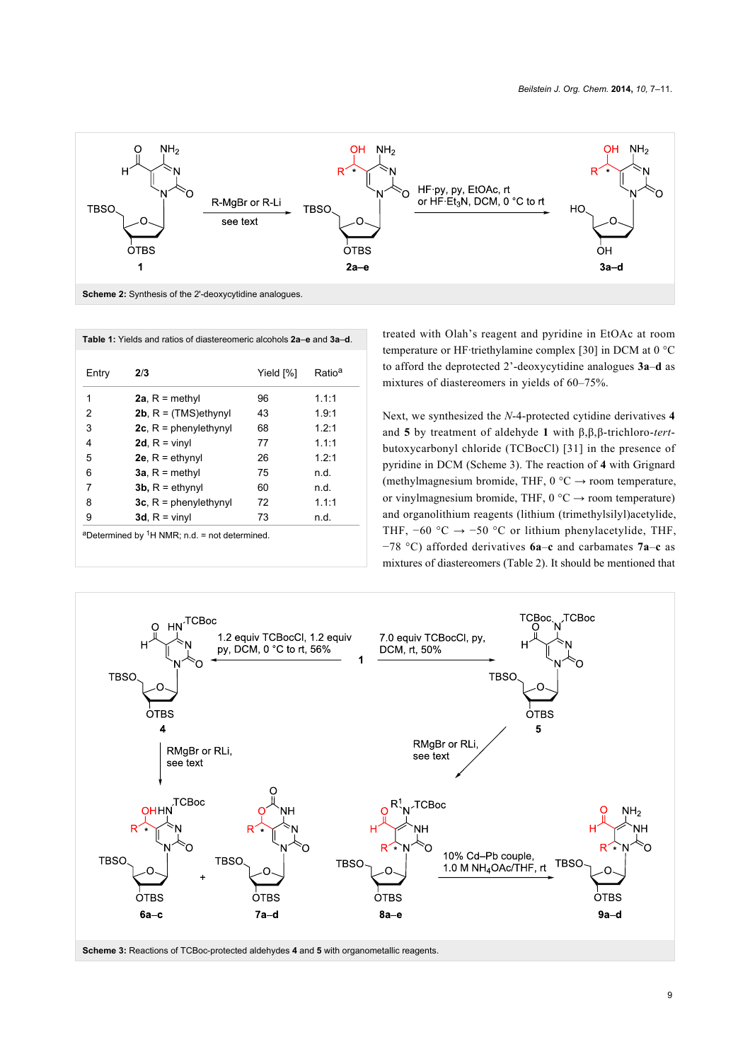<span id="page-2-0"></span>

<span id="page-2-1"></span>

| Entry | 2/3                       | Yield [%] | Ratio <sup>a</sup> |
|-------|---------------------------|-----------|--------------------|
| 1     | 2a, $R = \text{methyl}$   | 96        | 1.1:1              |
| 2     | 2b, $R = (TMS)$ ethynyl   | 43        | 1.9:1              |
| 3     | $2c$ , R = phenylethynyl  | 68        | 1.2:1              |
| 4     | 2d, $R =$ vinyl           | 77        | 1.1:1              |
| 5     | 2e, $R = e^{\frac{1}{2}}$ | 26        | 1.2:1              |
| 6     | $3a$ , R = methyl         | 75        | n.d.               |
| 7     | 3b, $R =$ ethynyl         | 60        | n.d.               |
| 8     | 3c, $R =$ phenylethynyl   | 72        | 111                |
| 9     | 3d, $R =$ vinyl           | 73        | n.d.               |

treated with Olah's reagent and pyridine in EtOAc at room temperature or HF·triethylamine complex [\[30\]](#page-4-12) in DCM at 0 °C to afford the deprotected 2'-deoxycytidine analogues **3a**–**d** as mixtures of diastereomers in yields of 60–75%.

Next, we synthesized the *N*-4-protected cytidine derivatives **4** and **5** by treatment of aldehyde **1** with β,β,β-trichloro-*tert*butoxycarbonyl chloride (TCBocCl) [\[31\]](#page-4-13) in the presence of pyridine in DCM ([Scheme 3\)](#page-2-2). The reaction of **4** with Grignard (methylmagnesium bromide, THF,  $0^{\circ}C \rightarrow$  room temperature, or vinylmagnesium bromide, THF,  $0^{\circ}C \rightarrow$  room temperature) and organolithium reagents (lithium (trimethylsilyl)acetylide, THF,  $-60$  °C  $\rightarrow -50$  °C or lithium phenylacetylide, THF, −78 °C) afforded derivatives **6a**–**c** and carbamates **7a**–**c** as mixtures of diastereomers [\(Table 2\)](#page-3-0). It should be mentioned that

<span id="page-2-2"></span>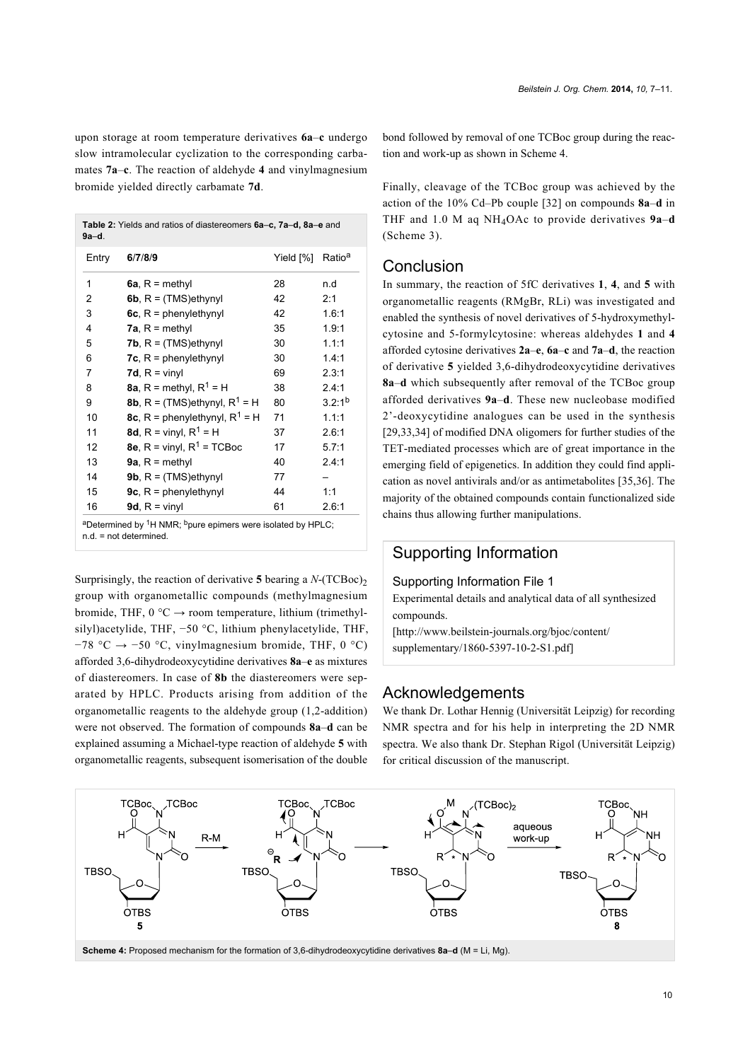upon storage at room temperature derivatives **6a**–**c** undergo slow intramolecular cyclization to the corresponding carbamates **7a**–**c**. The reaction of aldehyde **4** and vinylmagnesium bromide yielded directly carbamate **7d**.

<span id="page-3-0"></span>

| <b>Table 2:</b> Yields and ratios of diastereomers 6a–c, 7a–d, 8a–e and |  |
|-------------------------------------------------------------------------|--|
| 9a-d.                                                                   |  |

| Entry | 6/7/8/9                                          | Yield [%] | Ratio <sup>a</sup> |
|-------|--------------------------------------------------|-----------|--------------------|
| 1     | 6a, $R = \text{methyl}$                          | 28        | n.d                |
| 2     | 6b, $R = (TMS)$ ethynyl                          | 42        | 2:1                |
| 3     | 6c, $R =$ phenylethynyl                          | 42        | 1.6:1              |
| 4     | 7a, $R = \text{methyl}$                          | 35        | 1.9:1              |
| 5     | <b>7b</b> , $R = (TMS)$ ethynyl                  | 30        | 1.1:1              |
| 6     | <b>7c.</b> $R =$ phenylethynyl                   | 30        | 1.4:1              |
| 7     | 7d, $R =$ vinyl                                  | 69        | 2.3:1              |
| 8     | <b>8a.</b> R = methyl, $R^1$ = H                 | 38        | 2.4:1              |
| 9     | <b>8b</b> , R = (TMS)ethynyl, R <sup>1</sup> = H | 80        | $3.2:1^{b}$        |
| 10    | 8c, R = phenylethynyl, $R^1$ = H                 | 71        | 1.1:1              |
| 11    | <b>8d.</b> R = vinyl, $R^1$ = H                  | 37        | 2.6:1              |
| 12    | 8e, $R =$ vinyl, $R^1 =$ TCBoc                   | 17        | 5.7:1              |
| 13    | 9a, $R = \text{methyl}$                          | 40        | 2.4:1              |
| 14    | 9b, $R = (TMS)$ ethynyl                          | 77        |                    |
| 15    | 9c, $R =$ phenylethynyl                          | 44        | 1:1                |
| 16    | 9d, $R =$ vinyl                                  | 61        | 2.6:1              |

Surprisingly, the reaction of derivative **5** bearing a  $N$ -(TCBoc)<sub>2</sub> group with organometallic compounds (methylmagnesium bromide, THF,  $0^{\circ}C \rightarrow$  room temperature, lithium (trimethylsilyl)acetylide, THF, −50 °C, lithium phenylacetylide, THF,  $-78$  °C →  $-50$  °C, vinylmagnesium bromide, THF, 0 °C) afforded 3,6-dihydrodeoxycytidine derivatives **8a**–**e** as mixtures of diastereomers. In case of **8b** the diastereomers were separated by HPLC. Products arising from addition of the organometallic reagents to the aldehyde group (1,2-addition) were not observed. The formation of compounds **8a**–**d** can be explained assuming a Michael-type reaction of aldehyde **5** with organometallic reagents, subsequent isomerisation of the double

bond followed by removal of one TCBoc group during the reaction and work-up as shown in [Scheme 4](#page-3-1).

Finally, cleavage of the TCBoc group was achieved by the action of the 10% Cd–Pb couple [\[32\]](#page-4-14) on compounds **8a**–**d** in THF and 1.0 M aq NH4OAc to provide derivatives **9a**–**d** ([Scheme 3](#page-2-2)).

#### **Conclusion**

In summary, the reaction of 5fC derivatives **1**, **4**, and **5** with organometallic reagents (RMgBr, RLi) was investigated and enabled the synthesis of novel derivatives of 5-hydroxymethylcytosine and 5-formylcytosine: whereas aldehydes **1** and **4** afforded cytosine derivatives **2a**–**e**, **6a**–**c** and **7a**–**d**, the reaction of derivative **5** yielded 3,6-dihydrodeoxycytidine derivatives **8a**–**d** which subsequently after removal of the TCBoc group afforded derivatives **9a**–**d**. These new nucleobase modified 2'-deoxycytidine analogues can be used in the synthesis [\[29,33,34\]](#page-4-11) of modified DNA oligomers for further studies of the TET-mediated processes which are of great importance in the emerging field of epigenetics. In addition they could find application as novel antivirals and/or as antimetabolites [\[35,36\].](#page-4-15) The majority of the obtained compounds contain functionalized side chains thus allowing further manipulations.

## Supporting Information

#### Supporting Information File 1

Experimental details and analytical data of all synthesized compounds.

[\[http://www.beilstein-journals.org/bjoc/content/](http://www.beilstein-journals.org/bjoc/content/supplementary/1860-5397-10-2-S1.pdf) [supplementary/1860-5397-10-2-S1.pdf\]](http://www.beilstein-journals.org/bjoc/content/supplementary/1860-5397-10-2-S1.pdf)

### Acknowledgements

We thank Dr. Lothar Hennig (Universität Leipzig) for recording NMR spectra and for his help in interpreting the 2D NMR spectra. We also thank Dr. Stephan Rigol (Universität Leipzig) for critical discussion of the manuscript.

<span id="page-3-1"></span>